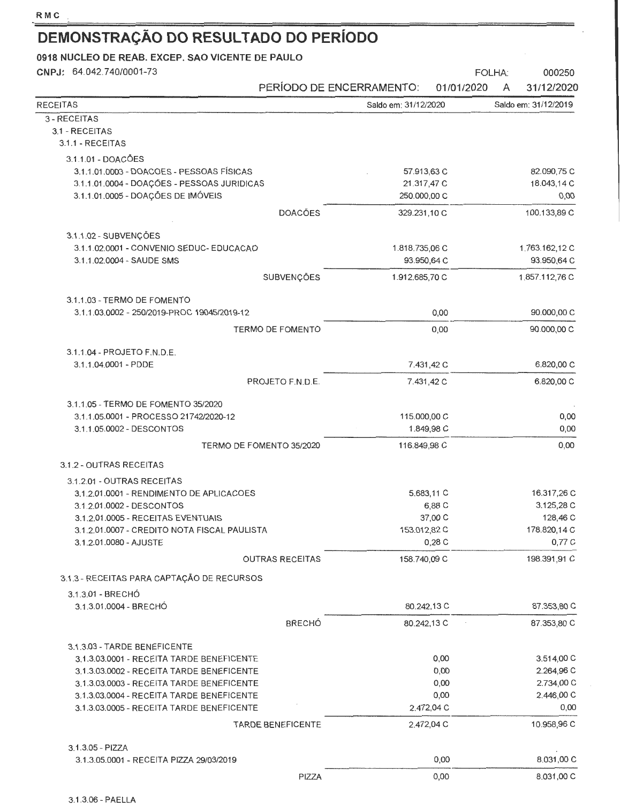| CNPJ: 64.042.740/0001-73                                        |                          | PERÍODO DE ENCERRAMENTO: | 000250<br>FOLHA:<br>31/12/2020<br>01/01/2020<br>A |
|-----------------------------------------------------------------|--------------------------|--------------------------|---------------------------------------------------|
| <b>RECEITAS</b>                                                 |                          | Saldo em: 31/12/2020     | Saldo em: 31/12/2019                              |
| 3 - RECEITAS                                                    |                          |                          |                                                   |
| 3.1 - RECEITAS<br>3.1.1 - RECEITAS                              |                          |                          |                                                   |
| 3.1.1.01 - DOACÕES                                              |                          |                          |                                                   |
| 3.1.1.01.0003 - DOACOES - PESSOAS FÍSICAS                       |                          | 57.913,63 C              | 82.090,75 C                                       |
| 3.1.1.01.0004 - DOAÇÕES - PESSOAS JURIDICAS                     |                          | 21.317,47 C              | 18.043,14 C                                       |
| 3.1.1.01.0005 - DOAÇÕES DE IMÓVEIS                              |                          | 250.000,00 C             | 0,00                                              |
|                                                                 | <b>DOACÕES</b>           | 329.231,10 C             | 100.133,89 C                                      |
| 3.1.1.02 - SUBVENÇÕES                                           |                          |                          |                                                   |
| 3.1.1.02.0001 - CONVENIO SEDUC- EDUCACAO                        |                          | 1.818.735,06 C           | 1.763.162,12 C                                    |
| 3.1.1.02.0004 - SAUDE SMS                                       |                          | 93.950,64 C              | 93.950,64 C                                       |
|                                                                 | SUBVENÇÕES               | 1.912.685,70 C           | 1.857.112,76 C                                    |
| 3.1.1.03 - TERMO DE FOMENTO                                     |                          |                          |                                                   |
| 3.1.1.03.0002 - 250/2019-PROC 19045/2019-12                     |                          |                          | 90.000,00 C<br>0,00                               |
|                                                                 | <b>TERMO DE FOMENTO</b>  |                          | 90.000,00 C<br>0,00                               |
| 3.1.1.04 - PROJETO F.N.D.E.<br>3.1.1.04.0001 - PDDE             |                          | 7.431,42 C               | 6.820,00 C                                        |
|                                                                 | PROJETO F.N.D.E.         | 7.431,42 C               | 6.820,00 C                                        |
|                                                                 |                          |                          |                                                   |
| 3.1.1.05 - TERMO DE FOMENTO 35/2020                             |                          |                          |                                                   |
| 3.1.1.05.0001 - PROCESSO 21742/2020-12                          |                          | 115.000,00 C             | 0,00                                              |
| 3.1.1.05.0002 - DESCONTOS                                       |                          | 1.849,98 C               | 0,00                                              |
| TERMO DE FOMENTO 35/2020                                        |                          | 116.849,98 C             | 0,00                                              |
| 3.1.2 - OUTRAS RECEITAS                                         |                          |                          |                                                   |
| 3.1.2.01 - OUTRAS RECEITAS                                      |                          |                          |                                                   |
| 3.1.2.01.0001 - RENDIMENTO DE APLICACOES                        |                          | 5.683,11 C               | 16.317,26 C                                       |
| 3.1.2.01.0002 - DESCONTOS<br>3.1.2.01.0005 - RECEITAS EVENTUAIS |                          | 6,88 C<br>37,00 C        | 3.125,28 C<br>128,46 C                            |
| 3.1.2.01.0007 - CREDITO NOTA FISCAL PAULISTA                    |                          | 153.012,82 C             | 178.820,14 C                                      |
| 3.1.2.01.0080 - AJUSTE                                          |                          | 0,28C                    | 0,77 C                                            |
|                                                                 | <b>OUTRAS RECEITAS</b>   | 158.740,09 C             | 198.391,91 C                                      |
| 3.1.3 - RECEITAS PARA CAPTAÇÃO DE RECURSOS                      |                          |                          |                                                   |
| 3.1.3.01 - BRECHÓ                                               |                          |                          |                                                   |
| 3.1.3.01.0004 - BRECHÓ                                          |                          | 80.242,13 C              | 87.353,80 C                                       |
|                                                                 | <b>BRECHÓ</b>            | 80.242,13 C              | 87.353,80 C                                       |
| 3.1.3.03 - TARDE BENEFICENTE                                    |                          |                          |                                                   |
| 3.1.3.03.0001 - RECEITA TARDE BENEFICENTE                       |                          |                          | 3.514,00 C<br>0,00                                |
| 3.1.3.03.0002 - RECEITA TARDE BENEFICENTE                       |                          |                          | 0,00<br>2.264,96 C                                |
| 3.1.3.03.0003 - RECEITA TARDE BENEFICENTE                       |                          |                          | 0,00<br>2.734,00 C                                |
| 3.1.3.03.0004 - RECEITA TARDE BENEFICENTE                       |                          |                          | 2.446,00 C<br>0,00                                |
| 3.1.3.03.0005 - RECEITA TARDE BENEFICENTE                       |                          | 2.472,04 C               | 0,00                                              |
|                                                                 | <b>TARDE BENEFICENTE</b> | 2.472,04 C               | 10.958,96 C                                       |
| 3.1.3.05 - PIZZA                                                |                          |                          |                                                   |
| 3.1.3.05.0001 - RECEITA PIZZA 29/03/2019                        |                          |                          | 8.031,00 C<br>0,00                                |
|                                                                 | PIZZA                    |                          | 8.031,00 C<br>0,00                                |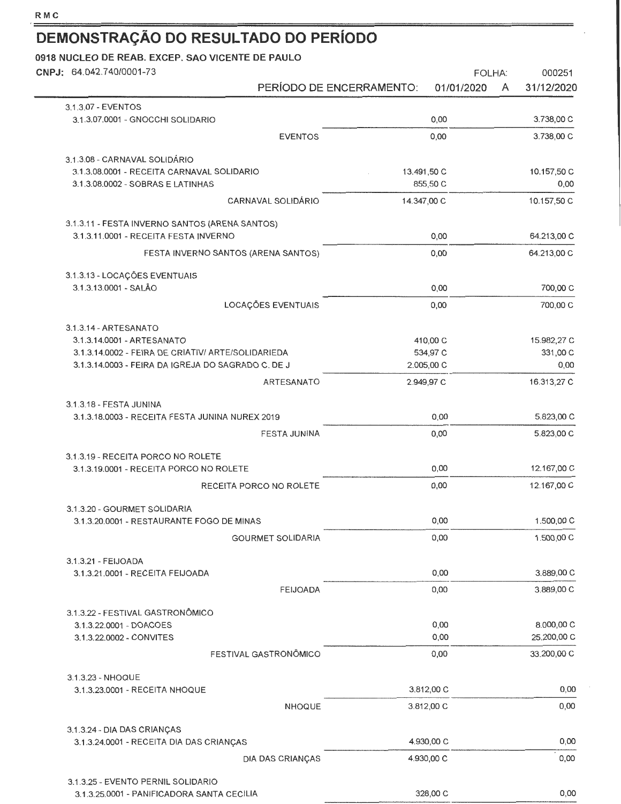| CNPJ: 64.042.740/0001-73                                                                |                          |                          | <b>FOLHA:</b> |   | 000251       |
|-----------------------------------------------------------------------------------------|--------------------------|--------------------------|---------------|---|--------------|
|                                                                                         | PERÍODO DE ENCERRAMENTO: |                          | 01/01/2020    | A | 31/12/2020   |
| 3.1.3.07 - EVENTOS                                                                      |                          |                          |               |   |              |
| 3.1.3.07.0001 - GNOCCHI SOLIDARIO                                                       |                          |                          | 0,00          |   | 3.738,00 C   |
|                                                                                         | <b>EVENTOS</b>           |                          | 0,00          |   | 3.738,00 C   |
| 3.1.3.08 - CARNAVAL SOLIDÁRIO                                                           |                          |                          |               |   |              |
| 3.1.3.08.0001 - RECEITA CARNAVAL SOLIDARIO                                              |                          | 13.491,50 C              |               |   | 10.157,50 C  |
| 3.1.3.08.0002 - SOBRAS E LATINHAS                                                       |                          |                          | 855,50 C      |   | 0,00         |
| <b>CARNAVAL SOLIDÁRIO</b>                                                               |                          | 14.347,00 C              |               |   | 10.157,50 C  |
| 3.1.3.11 - FESTA INVERNO SANTOS (ARENA SANTOS)<br>3.1.3.11.0001 - RECEITA FESTA INVERNO |                          |                          | 0,00          |   | 64.213,00 C  |
| FESTA INVERNO SANTOS (ARENA SANTOS)                                                     |                          |                          | 0,00          |   | 64.213,00 C  |
| 3.1.3.13 - LOCAÇÕES EVENTUAIS                                                           |                          |                          |               |   |              |
| 3.1.3.13.0001 - SALÃO                                                                   |                          |                          | 0,00          |   | 700,00 C     |
| LOCAÇÕES EVENTUAIS                                                                      |                          |                          | 0,00          |   | 700,00 C     |
| 3.1.3.14 - ARTESANATO                                                                   |                          |                          |               |   |              |
| 3.1.3.14.0001 - ARTESANATO                                                              |                          |                          | 410,00 C      |   | 15.982,27 C  |
| 3.1.3.14.0002 - FEIRA DE CRIATIV/ ARTE/SOLIDARIEDA                                      |                          |                          | 534,97 C      |   | 331,00 C     |
| 3.1.3.14.0003 - FEIRA DA IGREJA DO SAGRADO C. DE J                                      |                          | 2.005,00 C               |               |   | 0,00         |
|                                                                                         | ARTESANATO               | 2.949,97 C               |               |   | 16.313,27 C  |
| 3.1.3.18 - FESTA JUNINA<br>3.1.3.18.0003 - RECEITA FESTA JUNINA NUREX 2019              |                          |                          | 0,00          |   | 5.823,00 C   |
|                                                                                         | FESTA JUNINA             |                          | 0,00          |   | 5.823,00 C   |
|                                                                                         |                          |                          |               |   |              |
| 3.1.3.19 - RECEITA PORCO NO ROLETE<br>3.1.3.19.0001 - RECEITA PORCO NO ROLETE           |                          |                          | 0,00          |   | 12.167,00 C  |
| RECEITA PORCO NO ROLETE                                                                 |                          |                          | 0,00          |   | 12.167,00 C  |
| 3.1.3.20 - GOURMET SOLIDARIA                                                            |                          |                          |               |   |              |
| 3.1.3.20.0001 - RESTAURANTE FOGO DE MINAS                                               |                          |                          | 0,00          |   | 1.500,00 C   |
| <b>GOURMET SOLIDARIA</b>                                                                |                          |                          | 0,00          |   | 1.500,00 C   |
| 3.1.3.21 - FEIJOADA                                                                     |                          |                          |               |   |              |
| 3.1.3.21.0001 - RECEITA FEIJOADA                                                        |                          |                          | 0,00          |   | 3.889,00 C   |
|                                                                                         | <b>FEIJOADA</b>          |                          | 0,00          |   | 3.889,00 C   |
| 3.1.3.22 - FESTIVAL GASTRONÔMICO                                                        |                          |                          |               |   |              |
| 3.1.3.22.0001 - DOACOES                                                                 |                          |                          | 0,00          |   | 8.000,00 C   |
| 3.1.3.22.0002 - CONVITES                                                                |                          |                          | 0,00          |   | 25.200,00 C  |
| FESTIVAL GASTRONÔMICO                                                                   |                          |                          | 0,00          |   | 33.200,00 C  |
| 3.1.3.23 - NHOQUE                                                                       |                          |                          |               |   |              |
| 3.1.3.23.0001 - RECEITA NHOQUE                                                          | <b>NHOQUE</b>            | 3.812,00 C<br>3.812,00 C |               |   | 0,00<br>0,00 |
|                                                                                         |                          |                          |               |   |              |
| 3.1.3.24 - DIA DAS CRIANÇAS                                                             |                          |                          |               |   |              |
| 3.1.3.24.0001 - RECEITA DIA DAS CRIANÇAS                                                |                          | 4.930,00 C               |               |   | 0,00         |
| DIA DAS CRIANÇAS                                                                        |                          | 4.930,00 C               |               |   | 0,00         |
| 3.1.3.25 - EVENTO PERNIL SOLIDARIO                                                      |                          |                          |               |   |              |
| 3.1.3.25.0001 - PANIFICADORA SANTA CECILIA                                              |                          |                          | 328,00 C      |   | 0,00         |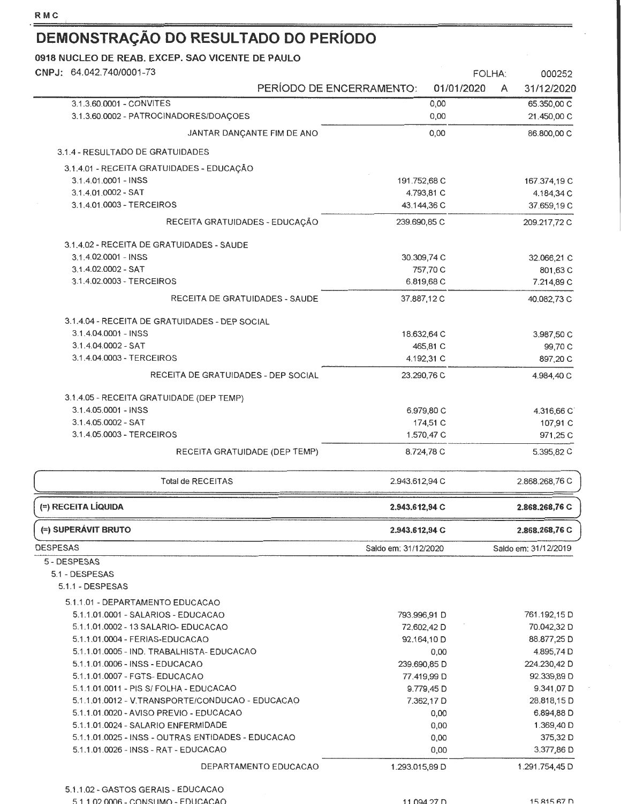| CNPJ: 64.042.740/0001-73                                                                    |                          |                      | FOLHA:     |   | 000252                    |
|---------------------------------------------------------------------------------------------|--------------------------|----------------------|------------|---|---------------------------|
|                                                                                             | PERÍODO DE ENCERRAMENTO: |                      | 01/01/2020 | A | 31/12/2020                |
| 3.1.3.60.0001 - CONVITES                                                                    |                          |                      | 0,00       |   | 65.350,00 C               |
| 3.1.3.60.0002 - PATROCINADORES/DOAÇOES                                                      |                          |                      | 0,00       |   | 21.450,00 C               |
| JANTAR DANÇANTE FIM DE ANO                                                                  |                          |                      | 0,00       |   | 86.800,00 C               |
| 3.1.4 - RESULTADO DE GRATUIDADES                                                            |                          |                      |            |   |                           |
| 3.1.4.01 - RECEITA GRATUIDADES - EDUCAÇÃO                                                   |                          |                      |            |   |                           |
| 3.1.4.01.0001 - INSS                                                                        |                          | 191.752,68 C         |            |   | 167.374,19 C              |
| 3.1.4.01.0002 - SAT                                                                         |                          | 4.793,81 C           |            |   | 4.184,34 C                |
| 3.1.4.01.0003 - TERCEIROS                                                                   |                          | 43.144,36 C          |            |   | 37.659,19 C               |
| RECEITA GRATUIDADES - EDUCAÇÃO                                                              |                          | 239.690,85 C         |            |   | 209.217,72 C              |
| 3.1.4.02 - RECEITA DE GRATUIDADES - SAUDE                                                   |                          |                      |            |   |                           |
| 3.1.4.02.0001 - INSS                                                                        |                          | 30.309,74 C          |            |   | 32.066,21 C               |
| 3.1.4.02.0002 - SAT                                                                         |                          |                      | 757,70 C   |   | 801,63 C                  |
| 3.1.4.02.0003 - TERCEIROS                                                                   |                          | 6.819,68 C           |            |   | 7.214,89 C                |
| RECEITA DE GRATUIDADES - SAUDE                                                              |                          | 37.887,12 C          |            |   | 40.082,73 C               |
| 3.1.4.04 - RECEITA DE GRATUIDADES - DEP SOCIAL                                              |                          |                      |            |   |                           |
| 3.1.4.04.0001 - INSS                                                                        |                          | 18.632,64 C          |            |   | 3,987,50 C                |
| 3.1.4.04.0002 - SAT                                                                         |                          |                      | 465,81 C   |   | 99,70 C                   |
| 3.1.4.04.0003 - TERCEIROS                                                                   |                          | 4.192,31 C           |            |   | 897,20 C                  |
| RECEITA DE GRATUIDADES - DEP SOCIAL                                                         |                          | 23.290,76 C          |            |   | 4.984,40 C                |
| 3.1.4.05 - RECEITA GRATUIDADE (DEP TEMP)                                                    |                          |                      |            |   |                           |
| 3.1.4.05.0001 - INSS                                                                        |                          | 6.979,80 C           |            |   | 4.316,66 C                |
| 3.1.4.05.0002 - SAT                                                                         |                          |                      | 174,51 C   |   | 107,91 C                  |
| 3.1.4.05.0003 - TERCEIROS                                                                   |                          | 1.570,47 C           |            |   | 971,25 C                  |
| RECEITA GRATUIDADE (DEP TEMP)                                                               |                          | 8.724,78 C           |            |   | 5.395,82 C                |
| <b>Total de RECEITAS</b>                                                                    |                          | 2.943.612,94 C       |            |   | 2.868.268,76 C            |
| (=) RECEITA LÍQUIDA                                                                         |                          | 2.943.612,94 C       |            |   | 2.868.268,76 C            |
| (=) SUPERAVIT BRUTO                                                                         |                          | 2.943.612,94 C       |            |   | 2.868.268,76 C            |
| <b>DESPESAS</b>                                                                             |                          | Saldo em: 31/12/2020 |            |   | Saldo em: 31/12/2019      |
| 5 - DESPESAS                                                                                |                          |                      |            |   |                           |
| 5.1 - DESPESAS                                                                              |                          |                      |            |   |                           |
| 5.1.1 - DESPESAS                                                                            |                          |                      |            |   |                           |
| 5.1.1.01 - DEPARTAMENTO EDUCACAO                                                            |                          |                      |            |   |                           |
| 5.1.1.01.0001 - SALARIOS - EDUCACAO                                                         |                          | 793.996,91 D         |            |   | 761.192,15 D              |
| 5.1.1.01.0002 - 13 SALARIO- EDUCACAO                                                        |                          | 72.602,42 D          |            |   | 70.042,32 D               |
| 5.1.1.01.0004 - FERIAS-EDUCACAO                                                             |                          | 92.164,10 D          |            |   | 88.877,25 D               |
| 5.1.1.01.0005 - IND. TRABALHISTA- EDUCACAO                                                  |                          |                      | 0,00       |   | 4.895,74 D                |
| 5.1.1.01.0006 - INSS - EDUCACAO                                                             |                          | 239.690,85 D         |            |   | 224.230,42 D              |
| 5.1.1.01.0007 - FGTS- EDUCACAO                                                              |                          | 77.419,99 D          | 9.779,45 D |   | 92.339,89 D<br>9.341,07 D |
| 5.1.1.01.0011 - PIS S/ FOLHA - EDUCACAO<br>5.1.1.01.0012 - V.TRANSPORTE/CONDUCAO - EDUCACAO |                          |                      | 7.362,17 D |   | 28.818,15 D               |
| 5.1.1.01.0020 - AVISO PREVIO - EDUCACAO                                                     |                          |                      | 0,00       |   | 6.894,88 D                |
| 5.1.1.01.0024 - SALARIO ENFERMIDADE                                                         |                          |                      | 0,00       |   | 1.369,40 D                |
| 5.1.1.01.0025 - INSS - OUTRAS ENTIDADES - EDUCACAO                                          |                          |                      | 0,00       |   | 375,32 D                  |
| 5.1.1.01.0026 - INSS - RAT - EDUCACAO                                                       |                          |                      | 0,00       |   | 3.377,86 D                |
|                                                                                             | DEPARTAMENTO EDUCACAO    | 1.293.015,89 D       |            |   | 1.291.754,45 D            |
| 5.1.1.02 - GASTOS GERAIS - EDUCACAO                                                         |                          |                      |            |   |                           |
|                                                                                             |                          |                      |            |   |                           |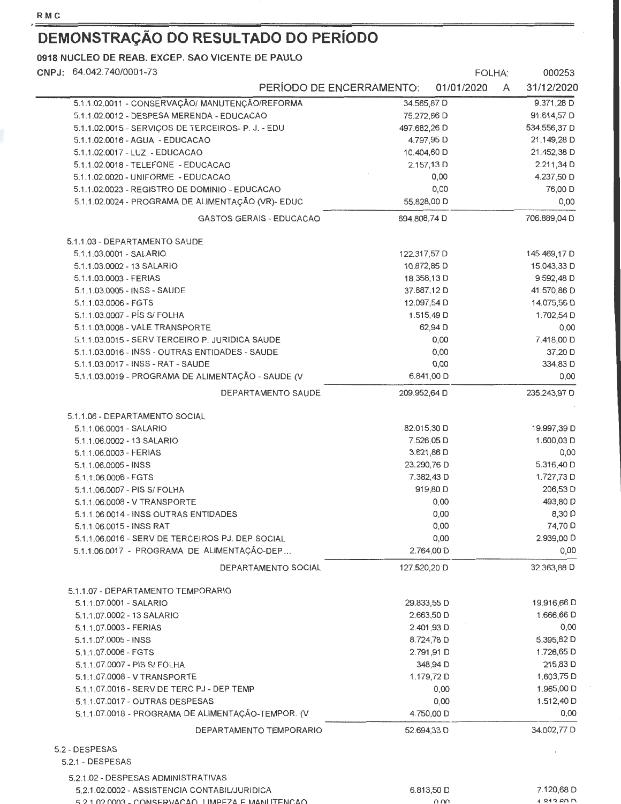ł,

### **DEMONSTRAÇÃO DO RESULTADO DO PERÍODO**

5.2.1 .02.0003- CONSERVACAO LIMPF7A F MANIITFNr.AO

**0918 NUCLEO DE REAB. EXCEP. SAO VICENTE DE PAULO** 

| CNPJ: 64.042.740/0001-73                           |                                 |              | FOLHA:      |   | 000253       |
|----------------------------------------------------|---------------------------------|--------------|-------------|---|--------------|
|                                                    | PERÍODO DE ENCERRAMENTO:        |              | 01/01/2020  | A | 31/12/2020   |
| 5.1.1.02.0011 - CONSERVAÇÃO/ MANUTENÇÃO/REFORMA    |                                 | 34.565,87 D  |             |   | $9.371,28$ D |
| 5.1.1.02.0012 - DESPESA MERENDA - EDUCACAO         |                                 | 75.272,86 D  |             |   | 91.614,57 D  |
| 5.1.1.02.0015 - SERVICOS DE TERCEIROS- P. J. - EDU |                                 | 497.682,26 D |             |   | 534.556,37 D |
| 5.1.1.02.0016 - AGUA - EDUCACAO                    |                                 |              | 4.797,95 D  |   | 21.149,28 D  |
| 5.1.1.02.0017 - LUZ - EDUCACAO                     |                                 | 10.404,60 D  |             |   | 21.452,38 D  |
| 5.1.1.02.0018 - TELEFONE - EDUCACAO                |                                 |              | 2.157,13 D  |   | 2.211,34 D   |
| 5.1.1.02.0020 - UNIFORME - EDUCACAO                |                                 |              | 0,00        |   | 4.237,50 D   |
| 5.1.1.02.0023 - REGISTRO DE DOMINIO - EDUCACAO     |                                 |              | 0,00        |   | 76,00 D      |
| 5.1.1.02.0024 - PROGRAMA DE ALIMENTAÇÃO (VR)- EDUC |                                 | 55.828,00 D  |             |   | 0,00         |
|                                                    | <b>GASTOS GERAIS - EDUCACAO</b> | 694.808,74 D |             |   | 706,889,04 D |
| 5.1.1.03 - DEPARTAMENTO SAUDE                      |                                 |              |             |   |              |
| 5.1.1.03.0001 - SALARIO                            |                                 | 122.317,57 D |             |   | 145.469,17 D |
| 5.1.1.03.0002 - 13 SALARIO                         |                                 | 10.872,85 D  |             |   | 15.043,33 D  |
| 5.1.1.03.0003 - FERIAS                             |                                 | 18.358,13 D  |             |   | 9.592,48 D   |
| 5.1.1.03.0005 - INSS - SAUDE                       |                                 | 37,887,12 D  |             |   | 41.570,86 D  |
| 5.1.1.03.0006 - FGTS                               |                                 | 12.097,54 D  |             |   | 14.075,56 D  |
| 5.1.1.03.0007 - PÍS S/ FOLHA                       |                                 |              | 1.515,49 D  |   | 1.702,54 D   |
| 5.1.1.03.0008 - VALE TRANSPORTE                    |                                 |              | 62,94 D     |   | 0,00         |
| 5.1.1.03.0015 - SERV TERCEIRO P. JURIDICA SAUDE    |                                 |              | 0,00        |   | 7.418,00 D   |
| 5.1.1.03.0016 - INSS - OUTRAS ENTIDADES - SAUDE    |                                 |              | 0,00        |   | 37,20 D      |
| 5.1.1.03.0017 - INSS - RAT - SAUDE                 |                                 |              | 0,00        |   | 334,83 D     |
| 5.1.1.03.0019 - PROGRAMA DE ALIMENTAÇÃO - SAUDE (V |                                 |              | 6.841,00 D  |   | 0,00         |
|                                                    | DEPARTAMENTO SAUDE              | 209.952,64 D |             |   | 235.243,97 D |
| 5.1.1.06 - DEPARTAMENTO SOCIAL                     |                                 |              |             |   |              |
| 5.1.1.06.0001 - SALARIO                            |                                 | 82.015,30 D  |             |   | 19.997,39 D  |
| 5.1.1.06.0002 - 13 SALARIO                         |                                 |              | 7.526,05 D  |   | 1.600,03 D   |
| 5.1.1.06.0003 - FERIAS                             |                                 |              | 3.621,86 D  |   | 0,00         |
| 5.1.1.06.0005 - INSS                               |                                 |              | 23.290,76 D |   | 5.316,40 D   |
| 5.1.1.06.0006 - FGTS                               |                                 |              | 7.382,43 D  |   | 1.727,73 D   |
| 5.1.1.06.0007 - PIS S/ FOLHA                       |                                 |              | 919,80 D    |   | 206,53 D     |
| 5.1.1.06.0008 - V TRANSPORTE                       |                                 |              | 0,00        |   | 493,80 D     |
| 5.1.1.06.0014 - INSS OUTRAS ENTIDADES              |                                 |              | 0,00        |   | 8,30 D       |
| 5.1.1.06.0015 - INSS RAT                           |                                 |              | 0,00        |   | 74,70 D      |
| 5.1.1.06.0016 - SERV DE TERCEIROS PJ. DEP SOCIAL   |                                 |              | 0,00        |   | 2.939,00 D   |
| 5.1.1.06.0017 - PROGRAMA DE ALIMENTAÇÃO-DEP        |                                 |              | 2.764,00 D  |   | 0,00         |
|                                                    | DEPARTAMENTO SOCIAL             | 127.520,20 D |             |   | 32.363,88 D  |
| 5.1.1.07 - DEPARTAMENTO TEMPORARIO                 |                                 |              |             |   |              |
| 5.1.1.07.0001 - SALARIO                            |                                 |              | 29.833,55 D |   | 19.916,66 D  |
| 5.1.1.07.0002 - 13 SALARIO                         |                                 |              | 2.663,50 D  |   | 1.666,66 D   |
| 5.1.1.07.0003 - FERIAS                             |                                 |              | 2.401,93 D  |   | 0,00         |
| 5.1.1.07.0005 - INSS                               |                                 |              | 8.724,78 D  |   | 5.395,82 D   |
| 5.1.1.07.0006 - FGTS                               |                                 |              | 2.791,91 D  |   | 1.726,65 D   |
| 5.1.1.07.0007 - PIS S/ FOLHA                       |                                 |              | 348,94 D    |   | 215,83 D     |
| 5.1.1.07.0008 - V TRANSPORTE                       |                                 |              | 1.179,72 D  |   | 1.603,75 D   |
| 5.1.1.07.0016 - SERV DE TERC PJ - DEP TEMP         |                                 |              | 0,00        |   | 1.965,00 D   |
| 5.1.1.07.0017 - OUTRAS DESPESAS                    |                                 |              | 0,00        |   | 1.512,40 D   |
| 5.1.1.07.0018 - PROGRAMA DE ALIMENTAÇÃO-TEMPOR. (V |                                 |              | 4.750,00 D  |   | 0,00         |
|                                                    | DEPARTAMENTO TEMPORARIO         |              | 52.694,33 D |   | 34.002,77 D  |
| 5.2 - DESPESAS                                     |                                 |              |             |   |              |
| 5.2.1 - DESPESAS                                   |                                 |              |             |   |              |
| 5.2.1.02 - DESPESAS ADMINISTRATIVAS                |                                 |              |             |   | 7.120,68 D   |
| 5.2.1.02.0002 - ASSISTENCIA CONTABIL/JURIDICA      |                                 |              | 6.813,50 D  |   |              |

nnn

1 813 60 D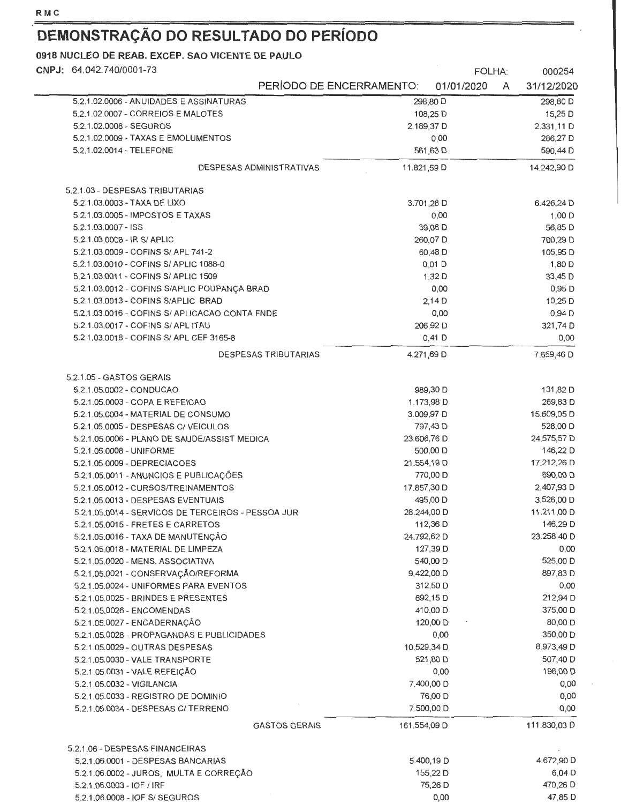$\overline{a}$ 

# **DEMONSTRAÇÃO DO RESULTADO DO PERÍODO**

| CNPJ: 64.042.740/0001-73                                                   |                             |              | FOLHA:                |   | 000254       |
|----------------------------------------------------------------------------|-----------------------------|--------------|-----------------------|---|--------------|
|                                                                            | PERÍODO DE ENCERRAMENTO:    |              | 01/01/2020            | A | 31/12/2020   |
| 5.2.1.02.0006 - ANUIDADES E ASSINATURAS                                    |                             |              | 298,80 D              |   | 298,80 D     |
| 5.2.1.02.0007 - CORREIOS E MALOTES                                         |                             |              | 108,25 D              |   | 15,25 D      |
| 5.2.1.02.0008 - SEGUROS                                                    |                             |              | 2.189,37 D            |   | 2.331,11 D   |
| 5.2.1.02.0009 - TAXAS E EMOLUMENTOS                                        |                             |              | 0,00                  |   | 286,27 D     |
| 5.2.1.02.0014 - TELEFONE                                                   |                             |              | 561,63 D              |   | 590,44 D     |
|                                                                            | DESPESAS ADMINISTRATIVAS    | 11.821,59 D  |                       |   | 14.242,90 D  |
| 5.2.1.03 - DESPESAS TRIBUTARIAS                                            |                             |              |                       |   |              |
| 5.2.1.03.0003 - TAXA DE LIXO                                               |                             |              | 3.701,28 D            |   | 6.426,24 D   |
| 5.2.1.03.0005 - IMPOSTOS E TAXAS                                           |                             |              | 0,00                  |   | $1,00$ D     |
| 5.2.1.03.0007 - ISS                                                        |                             |              | 39,06 D               |   | 56,85 D      |
| 5.2.1.03.0008 - IR S/ APLIC                                                |                             |              | 260,07 D              |   | 700,29 D     |
| 5.2.1.03.0009 - COFINS S/ APL 741-2                                        |                             |              | 60,48 D               |   | 105,95 D     |
| 5.2.1.03.0010 - COFINS S/ APLIC 1088-0                                     |                             |              | $0,01$ D              |   | 1,80 D       |
| 5.2.1.03.0011 - COFINS S/ APLIC 1509                                       |                             |              | 1,32D                 |   | 33,45 D      |
| 5.2.1.03.0012 - COFINS S/APLIC POUPANÇA BRAD                               |                             |              | 0,00                  |   | 0,95 D       |
| 5.2.1.03.0013 - COFINS S/APLIC BRAD                                        |                             |              | 2,14D                 |   | 10,25 D      |
| 5.2.1.03.0016 - COFINS S/ APLICACAO CONTA FNDE                             |                             |              | 0,00                  |   | $0,94$ D     |
| 5.2.1.03.0017 - COFINS S/ APL ITAU                                         |                             |              | 206,92 D              |   | 321,74 D     |
| 5.2.1.03.0018 - COFINS S/ APL CEF 3165-8                                   |                             |              | $0,41$ D              |   | 0,00         |
|                                                                            | <b>DESPESAS TRIBUTARIAS</b> |              | 4.271,69 D            |   | 7.659,46 D   |
| 5.2.1.05 - GASTOS GERAIS                                                   |                             |              |                       |   |              |
| 5.2.1.05.0002 - CONDUCAO                                                   |                             |              | 989,30 D              |   | 131,82 D     |
| 5.2.1.05.0003 - COPA E REFEICAO                                            |                             |              | 1.173,98 D            |   | 269,83 D     |
| 5.2.1.05.0004 - MATERIAL DE CONSUMO                                        |                             |              | 3.009,97 D            |   | 15.609,05 D  |
| 5.2.1.05.0005 - DESPESAS C/ VEICULOS                                       |                             |              | 797,43 D              |   | 528,00 D     |
| 5.2.1.05.0006 - PLANO DE SAUDE/ASSIST MEDICA                               |                             | 23.606,76 D  |                       |   | 24.575,57 D  |
| 5.2.1.05.0008 - UNIFORME                                                   |                             |              | 500,00 D              |   | 146,22 D     |
| 5.2.1.05.0009 - DEPRECIACOES                                               |                             |              | 21.554,19 D           |   | 17.212,26 D  |
| 5.2.1.05.0011 - ANUNCIOS E PUBLICAÇÕES                                     |                             |              | 770,00 D              |   | 690,00 D     |
| 5.2.1.05.0012 - CURSOS/TREINAMENTOS                                        |                             | 17.857,30 D  |                       |   | 2.407,93 D   |
| 5.2.1.05.0013 - DESPESAS EVENTUAIS                                         |                             |              | 495,00 D              |   | 3.526,00 D   |
| 5.2.1.05.0014 - SERVICOS DE TERCEIROS - PESSOA JUR                         |                             |              | 28.244,00 D           |   | 11.211,00 D  |
| 5.2.1.05.0015 - FRETES E CARRETOS                                          |                             |              | 112,36 D              |   | 146,29 D     |
| 5.2.1.05.0016 - TAXA DE MANUTENÇÃO                                         |                             |              | 24.792,62 D           |   | 23.258,40 D  |
| 5.2.1.05.0018 - MATERIAL DE LIMPEZA                                        |                             |              | 127,39 D              |   | 0,00         |
| 5.2.1.05.0020 - MENS. ASSOCIATIVA                                          |                             |              | 540,00 D              |   | 525,00 D     |
| 5.2.1.05.0021 - CONSERVAÇÃO/REFORMA                                        |                             |              | 9.422,00 D            |   | 897,83 D     |
| 5.2.1.05.0024 - UNIFORMES PARA EVENTOS                                     |                             |              | 312,50 D              |   | 0,00         |
| 5.2.1.05.0025 - BRINDES E PRESENTES                                        |                             |              | 692,15 D              |   | 212,94 D     |
| 5.2.1.05.0026 - ENCOMENDAS                                                 |                             |              | 410,00 D              |   | 375,00 D     |
| 5.2.1.05.0027 - ENCADERNAÇÃO                                               |                             |              | 120,00 D              |   | 80,00 D      |
| 5.2.1.05.0028 - PROPAGANDAS E PUBLICIDADES                                 |                             |              | 0,00                  |   | 350,00 D     |
| 5.2.1.05.0029 - OUTRAS DESPESAS                                            |                             |              | 10.529,34 D           |   | 8.973,49 D   |
| 5.2.1.05.0030 - VALE TRANSPORTE                                            |                             |              | 521,80 D              |   | 507,40 D     |
| 5.2.1.05.0031 - VALE REFEIÇÃO                                              |                             |              | 0,00                  |   | 196,00 D     |
| 5.2.1.05.0032 - VIGILANCIA                                                 |                             |              | 7.400,00 D            |   | 0,00         |
| 5.2.1.05.0033 - REGISTRO DE DOMINIO<br>5.2.1.05.0034 - DESPESAS C/ TERRENO |                             |              | 76,00 D<br>7.500,00 D |   | 0,00<br>0,00 |
|                                                                            | <b>GASTOS GERAIS</b>        | 161.554,09 D |                       |   | 111.830,03 D |
| 5.2.1.06 - DESPESAS FINANCEIRAS                                            |                             |              |                       |   |              |
| 5.2.1.06.0001 - DESPESAS BANCARIAS                                         |                             |              | 5.400,19 D            |   | 4.672,90 D   |
| 5.2.1.06.0002 - JUROS, MULTA E CORREÇÃO                                    |                             |              | 155,22 D              |   | 6,04 D       |
| 5.2.1.06.0003 - IOF / IRF                                                  |                             |              | 75,26 D               |   | 470,26 D     |
| 5.2.1.06.0008 - IOF S/ SEGUROS                                             |                             |              | 0,00                  |   | 47,85 D      |
|                                                                            |                             |              |                       |   |              |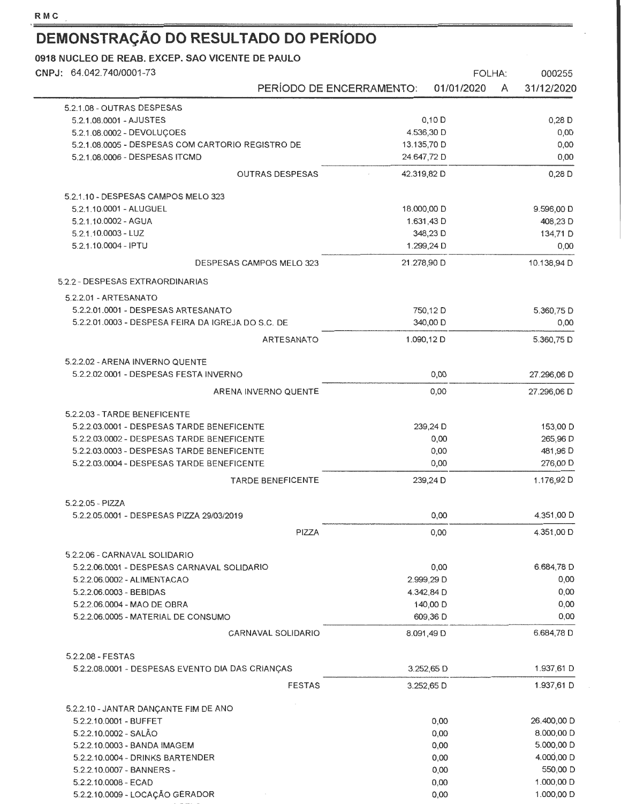$\overline{\phantom{0}}$ 

# **DEMONSTRAÇÃO DO RESULTADO DO PERÍODO**

| CNPJ: 64.042.740/0001-73                                                                  |                           |             | <b>FOLHA:</b>        |   | 000255               |
|-------------------------------------------------------------------------------------------|---------------------------|-------------|----------------------|---|----------------------|
|                                                                                           | PERÍODO DE ENCERRAMENTO:  |             | 01/01/2020           | A | 31/12/2020           |
| 5.2.1.08 - OUTRAS DESPESAS                                                                |                           |             |                      |   |                      |
| 5.2.1.08.0001 - AJUSTES                                                                   |                           |             | $0,10$ D             |   | $0,28$ D             |
| 5.2.1.08.0002 - DEVOLUÇOES                                                                |                           |             | 4.536,30 D           |   | 0,00                 |
| 5.2.1.08.0005 - DESPESAS COM CARTORIO REGISTRO DE                                         |                           | 13.135,70 D |                      |   | 0,00                 |
| 5.2.1.08.0006 - DESPESAS ITCMD                                                            |                           | 24.647,72 D |                      |   | 0,00                 |
|                                                                                           | <b>OUTRAS DESPESAS</b>    | 42.319,82 D |                      |   | $0,28$ D             |
| 5.2.1.10 - DESPESAS CAMPOS MELO 323                                                       |                           |             |                      |   |                      |
| 5.2.1.10.0001 - ALUGUEL                                                                   |                           | 18,000,00 D |                      |   | 9.596,00 D           |
| 5.2.1.10.0002 - AGUA                                                                      |                           |             | 1.631,43 D           |   | 408,23 D             |
| 5.2.1.10.0003 - LUZ                                                                       |                           |             | 348,23 D             |   | 134,71 D             |
| 5.2.1.10.0004 - IPTU                                                                      |                           |             | 1.299,24 D           |   | 0,00                 |
|                                                                                           | DESPESAS CAMPOS MELO 323  | 21.278,90 D |                      |   | 10.138,94 D          |
| 5.2.2 - DESPESAS EXTRAORDINARIAS                                                          |                           |             |                      |   |                      |
| 5.2.2.01 - ARTESANATO                                                                     |                           |             |                      |   | 5.360,75 D           |
| 5.2.2.01.0001 - DESPESAS ARTESANATO<br>5.2.2.01.0003 - DESPESA FEIRA DA IGREJA DO S.C. DE |                           |             | 750,12 D<br>340,00 D |   | 0,00                 |
|                                                                                           | ARTESANATO                |             | 1.090,12 D           |   | 5.360,75 D           |
|                                                                                           |                           |             |                      |   |                      |
| 5.2.2.02 - ARENA INVERNO QUENTE<br>5.2.2.02.0001 - DESPESAS FESTA INVERNO                 |                           |             | 0,00                 |   | 27.296,06 D          |
|                                                                                           | ARENA INVERNO QUENTE      |             | 0,00                 |   | 27.296,06 D          |
|                                                                                           |                           |             |                      |   |                      |
| 5.2.2.03 - TARDE BENEFICENTE                                                              |                           |             |                      |   |                      |
| 5.2.2.03.0001 - DESPESAS TARDE BENEFICENTE                                                |                           |             | 239,24 D             |   | 153,00 D             |
| 5.2.2.03.0002 - DESPESAS TARDE BENEFICENTE<br>5.2.2.03.0003 - DESPESAS TARDE BENEFICENTE  |                           |             | 0,00<br>0,00         |   | 265,96 D<br>481,96 D |
| 5.2.2.03.0004 - DESPESAS TARDE BENEFICENTE                                                |                           |             | 0,00                 |   | 276,00 D             |
|                                                                                           | <b>TARDE BENEFICENTE</b>  |             | 239,24 D             |   | 1.176,92D            |
|                                                                                           |                           |             |                      |   |                      |
| 5.2.2.05 - PIZZA<br>5.2.2.05.0001 - DESPESAS PIZZA 29/03/2019                             |                           |             | 0,00                 |   | 4.351,00 D           |
|                                                                                           | PIZZA                     |             | 0,00                 |   | 4.351,00 D           |
|                                                                                           |                           |             |                      |   |                      |
| 5.2.2.06 - CARNAVAL SOLIDARIO<br>5.2.2.06.0001 - DESPESAS CARNAVAL SOLIDARIO              |                           |             | 0,00                 |   | 6.684,78 D           |
| 5.2.2.06.0002 - ALIMENTACAO                                                               |                           |             | 2.999,29 D           |   | 0,00                 |
| 5.2.2.06.0003 - BEBIDAS                                                                   |                           |             | 4.342,84 D           |   | 0,00                 |
| 5.2.2.06.0004 - MAO DE OBRA                                                               |                           |             | 140,00 D             |   | 0,00                 |
| 5.2.2.06.0005 - MATERIAL DE CONSUMO                                                       |                           |             | 609,36 D             |   | 0,00                 |
|                                                                                           | <b>CARNAVAL SOLIDARIO</b> |             | 8.091,49 D           |   | 6.684,78 D           |
| 5.2.2.08 - FESTAS                                                                         |                           |             |                      |   |                      |
| 5.2.2.08.0001 - DESPESAS EVENTO DIA DAS CRIANÇAS                                          |                           |             | 3.252,65 D           |   | 1.937,61 D           |
|                                                                                           | <b>FESTAS</b>             |             | 3.252,65 D           |   | 1.937,61 D           |
| 5.2.2.10 - JANTAR DANÇANTE FIM DE ANO                                                     |                           |             |                      |   |                      |
| 5.2.2.10.0001 - BUFFET                                                                    |                           |             | 0,00                 |   | 26.400,00 D          |
| 5.2.2.10.0002 - SALÃO                                                                     |                           |             | 0,00                 |   | 8.000,00 D           |
| 5.2.2.10.0003 - BANDA IMAGEM                                                              |                           |             | 0,00                 |   | 5.000,00 D           |
| 5.2.2.10.0004 - DRINKS BARTENDER                                                          |                           |             | 0,00                 |   | 4.000,00 D           |
| 5.2.2.10.0007 - BANNERS -                                                                 |                           |             | 0,00                 |   | 550,00 D             |
| 5.2.2.10.0008 - ECAD                                                                      |                           |             | 0,00                 |   | 1.000,00 D           |
| 5.2.2.10.0009 - LOCAÇÃO GERADOR                                                           |                           |             | 0,00                 |   | 1.000,00 D           |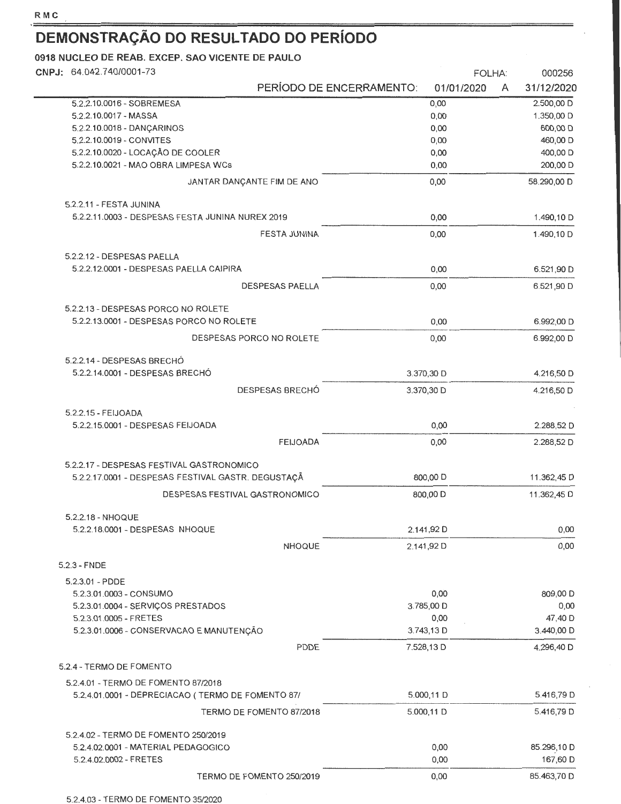| CNPJ: 64.042.740/0001-73                                                    |                                        | FOLHA:<br>000256     |
|-----------------------------------------------------------------------------|----------------------------------------|----------------------|
|                                                                             | PERÍODO DE ENCERRAMENTO:<br>01/01/2020 | 31/12/2020<br>A      |
| 5.2.2.10.0016 - SOBREMESA                                                   | 0,00                                   | 2.500,00 D           |
| 5.2.2.10.0017 - MASSA                                                       | 0,00                                   | 1.350,00 D           |
| 5.2.2.10.0018 - DANCARINOS                                                  | 0,00                                   | 600,00 D             |
| 5.2.2.10.0019 - CONVITES                                                    | 0,00                                   | 460,00 D             |
| 5.2.2.10.0020 - LOCAÇÃO DE COOLER<br>5.2.2.10.0021 - MAO OBRA LIMPESA WCs   | 0,00<br>0,00                           | 400,00 D<br>200,00 D |
| JANTAR DANCANTE FIM DE ANO                                                  | 0,00                                   | 58.290,00 D          |
|                                                                             |                                        |                      |
| 5.2.2.11 - FESTA JUNINA<br>5.2.2.11.0003 - DESPESAS FESTA JUNINA NUREX 2019 | 0,00                                   | 1.490,10 D           |
| <b>FESTA JUNINA</b>                                                         | 0,00                                   | 1.490,10 D           |
|                                                                             |                                        |                      |
| 5.2.2.12 - DESPESAS PAELLA                                                  |                                        |                      |
| 5.2.2.12.0001 - DESPESAS PAELLA CAIPIRA                                     | 0,00                                   | 6.521,90 D           |
| <b>DESPESAS PAELLA</b>                                                      | 0,00                                   | 6.521,90 D           |
| 5.2.2.13 - DESPESAS PORCO NO ROLETE                                         |                                        |                      |
| 5.2.2.13.0001 - DESPESAS PORCO NO ROLETE                                    | 0,00                                   | 6.992,00 D           |
| DESPESAS PORCO NO ROLETE                                                    | 0,00                                   | 6.992,00 D           |
| 5.2.2.14 - DESPESAS BRECHÓ                                                  |                                        |                      |
| 5.2.2.14.0001 - DESPESAS BRECHÓ                                             | 3.370,30 D                             | 4.216,50 D           |
| DESPESAS BRECHÓ                                                             | 3.370,30 D                             | 4.216,50 D           |
| 5.2.2.15 - FEIJOADA                                                         |                                        |                      |
| 5.2.2.15.0001 - DESPESAS FEIJOADA                                           | 0,00                                   | 2.288,52 D           |
| <b>FEIJOADA</b>                                                             | 0,00                                   | 2.288,52 D           |
| 5.2.2.17 - DESPESAS FESTIVAL GASTRONOMICO                                   |                                        |                      |
| 5.2.2.17.0001 - DESPESAS FESTIVAL GASTR. DEGUSTAÇÃ                          | 800,00 D                               | 11.362,45 D          |
| DESPESAS FESTIVAL GASTRONOMICO                                              | 800,00 D                               | 11.362,45 D          |
| 5.2.2.18 - NHOQUE                                                           |                                        |                      |
| 5.2.2.18.0001 - DESPESAS NHOQUE                                             | 2.141,92 D                             | 0,00                 |
| <b>NHOQUE</b>                                                               | 2.141,92 D                             | 0,00                 |
| $5.2.3 - FNDE$                                                              |                                        |                      |
| 5.2.3.01 - PDDE                                                             |                                        |                      |
| 5.2.3.01.0003 - CONSUMO                                                     | 0,00                                   | 809,00 D             |
| 5.2.3.01.0004 - SERVIÇOS PRESTADOS                                          | 3.785,00 D                             | 0,00                 |
| 5.2.3.01.0005 - FRETES                                                      | 0,00                                   | 47,40 D              |
| 5.2.3.01.0006 - CONSERVACAO E MANUTENÇÃO                                    | 3.743,13 D                             | 3.440,00 D           |
| PDDE                                                                        | 7.528,13 D                             | 4.296,40 D           |
| 5.2.4 - TERMO DE FOMENTO                                                    |                                        |                      |
| 5.2.4.01 - TERMO DE FOMENTO 87/2018                                         |                                        |                      |
| 5.2.4.01.0001 - DEPRECIACAO (TERMO DE FOMENTO 87/                           | 5.000,11 D                             | 5.416,79 D           |
| TERMO DE FOMENTO 87/2018                                                    | $5.000, 11$ D                          | 5.416,79 D           |
| 5.2.4.02 - TERMO DE FOMENTO 250/2019                                        |                                        |                      |
| 5.2.4.02.0001 - MATERIAL PEDAGOGICO<br>5.2.4.02.0002 - FRETES               | 0,00<br>0,00                           | 85.296,10 D          |
|                                                                             |                                        | 167,60 D             |
| TERMO DE FOMENTO 250/2019                                                   | 0,00                                   | 85.463,70 D          |